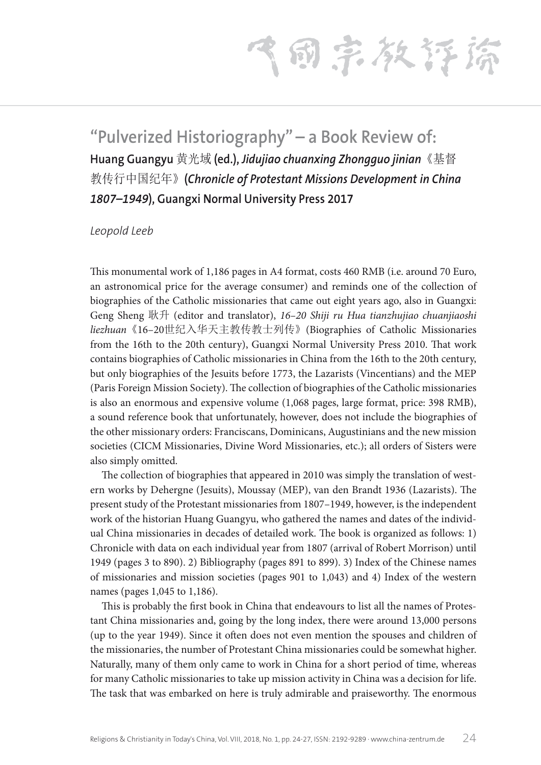飞雨宗教狂擒

## **"Pulverized Historiography" – a Book Review of: Huang Guangyu** 黄光域 **(ed.),** *Jidujiao chuanxing Zhongguo jinian*《基督 教传行中国纪年》**(***Chronicle of Protestant Missions Development in China 1807–1949***), Guangxi Normal University Press 2017**

## *Leopold Leeb*

This monumental work of 1,186 pages in A4 format, costs 460 RMB (i.e. around 70 Euro, an astronomical price for the average consumer) and reminds one of the collection of biographies of the Catholic missionaries that came out eight years ago, also in Guangxi: Geng Sheng 耿升 (editor and translator), *16–20 Shiji ru Hua tianzhujiao chuanjiaoshi liezhuan*《16–20世纪入华天主教传教士列传》(Biographies of Catholic Missionaries from the 16th to the 20th century), Guangxi Normal University Press 2010. That work contains biographies of Catholic missionaries in China from the 16th to the 20th century, but only biographies of the Jesuits before 1773, the Lazarists (Vincentians) and the MEP (Paris Foreign Mission Society). The collection of biographies of the Catholic missionaries is also an enormous and expensive volume (1,068 pages, large format, price: 398 RMB), a sound reference book that unfortunately, however, does not include the biographies of the other missionary orders: Franciscans, Dominicans, Augustinians and the new mission societies (CICM Missionaries, Divine Word Missionaries, etc.); all orders of Sisters were also simply omitted.

The collection of biographies that appeared in 2010 was simply the translation of western works by Dehergne (Jesuits), Moussay (MEP), van den Brandt 1936 (Lazarists). The present study of the Protestant missionaries from 1807–1949, however, is the independent work of the historian Huang Guangyu, who gathered the names and dates of the individual China missionaries in decades of detailed work. The book is organized as follows: 1) Chronicle with data on each individual year from 1807 (arrival of Robert Morrison) until 1949 (pages 3 to 890). 2) Bibliography (pages 891 to 899). 3) Index of the Chinese names of missionaries and mission societies (pages 901 to 1,043) and 4) Index of the western names (pages 1,045 to 1,186).

This is probably the first book in China that endeavours to list all the names of Protestant China missionaries and, going by the long index, there were around 13,000 persons (up to the year 1949). Since it often does not even mention the spouses and children of the missionaries, the number of Protestant China missionaries could be somewhat higher. Naturally, many of them only came to work in China for a short period of time, whereas for many Catholic missionaries to take up mission activity in China was a decision for life. The task that was embarked on here is truly admirable and praiseworthy. The enormous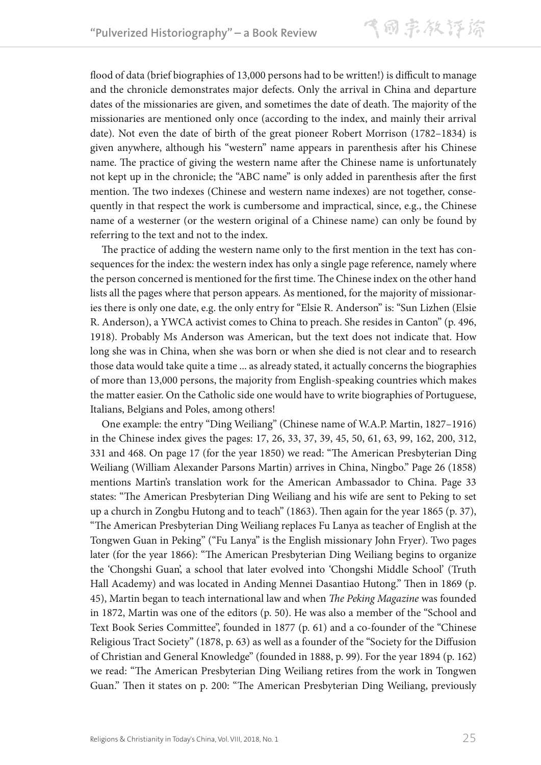flood of data (brief biographies of 13,000 persons had to be written!) is difficult to manage and the chronicle demonstrates major defects. Only the arrival in China and departure dates of the missionaries are given, and sometimes the date of death. The majority of the missionaries are mentioned only once (according to the index, and mainly their arrival date). Not even the date of birth of the great pioneer Robert Morrison (1782–1834) is given anywhere, although his "western" name appears in parenthesis after his Chinese name. The practice of giving the western name after the Chinese name is unfortunately not kept up in the chronicle; the "ABC name" is only added in parenthesis after the first mention. The two indexes (Chinese and western name indexes) are not together, consequently in that respect the work is cumbersome and impractical, since, e.g., the Chinese name of a westerner (or the western original of a Chinese name) can only be found by referring to the text and not to the index.

The practice of adding the western name only to the first mention in the text has consequences for the index: the western index has only a single page reference, namely where the person concerned is mentioned for the first time. The Chinese index on the other hand lists all the pages where that person appears. As mentioned, for the majority of missionaries there is only one date, e.g. the only entry for "Elsie R. Anderson" is: "Sun Lizhen (Elsie R. Anderson), a YWCA activist comes to China to preach. She resides in Canton" (p. 496, 1918). Probably Ms Anderson was American, but the text does not indicate that. How long she was in China, when she was born or when she died is not clear and to research those data would take quite a time ... as already stated, it actually concerns the biographies of more than 13,000 persons, the majority from English-speaking countries which makes the matter easier. On the Catholic side one would have to write biographies of Portuguese, Italians, Belgians and Poles, among others!

One example: the entry "Ding Weiliang" (Chinese name of W.A.P. Martin, 1827–1916) in the Chinese index gives the pages: 17, 26, 33, 37, 39, 45, 50, 61, 63, 99, 162, 200, 312, 331 and 468. On page 17 (for the year 1850) we read: "The American Presbyterian Ding Weiliang (William Alexander Parsons Martin) arrives in China, Ningbo." Page 26 (1858) mentions Martin's translation work for the American Ambassador to China. Page 33 states: "The American Presbyterian Ding Weiliang and his wife are sent to Peking to set up a church in Zongbu Hutong and to teach" (1863). Then again for the year 1865 (p. 37), "The American Presbyterian Ding Weiliang replaces Fu Lanya as teacher of English at the Tongwen Guan in Peking" ("Fu Lanya" is the English missionary John Fryer). Two pages later (for the year 1866): "The American Presbyterian Ding Weiliang begins to organize the 'Chongshi Guan', a school that later evolved into 'Chongshi Middle School' (Truth Hall Academy) and was located in Anding Mennei Dasantiao Hutong." Then in 1869 (p. 45), Martin began to teach international law and when *The Peking Magazine* was founded in 1872, Martin was one of the editors (p. 50). He was also a member of the "School and Text Book Series Committee", founded in 1877 (p. 61) and a co-founder of the "Chinese Religious Tract Society" (1878, p. 63) as well as a founder of the "Society for the Diffusion of Christian and General Knowledge" (founded in 1888, p. 99). For the year 1894 (p. 162) we read: "The American Presbyterian Ding Weiliang retires from the work in Tongwen Guan." Then it states on p. 200: "The American Presbyterian Ding Weiliang, previously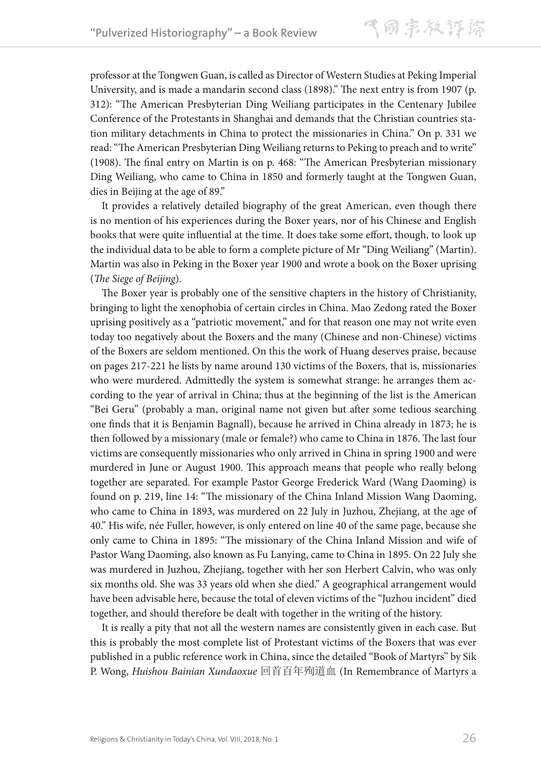professor at the Tongwen Guan, is called as Director of Western Studies at Peking Imperial University, and is made a mandarin second class (1898)." The next entry is from 1907 (p. 312): "The American Presbyterian Ding Weiliang participates in the Centenary Jubilee Conference of the Protestants in Shanghai and demands that the Christian countries station military detachments in China to protect the missionaries in China." On p. 331 we read: "The American Presbyterian Ding Weiliang returns to Peking to preach and to write" (1908). The final entry on Martin is on p. 468: "The American Presbyterian missionary Ding Weiliang, who came to China in 1850 and formerly taught at the Tongwen Guan, dies in Beijing at the age of 89."

It provides a relatively detailed biography of the great American, even though there is no mention of his experiences during the Boxer years, nor of his Chinese and English books that were quite influential at the time. It does take some effort, though, to look up the individual data to be able to form a complete picture of Mr "Ding Weiliang" (Martin). Martin was also in Peking in the Boxer year 1900 and wrote a book on the Boxer uprising (*The Siege of Beijing*).

The Boxer year is probably one of the sensitive chapters in the history of Christianity, bringing to light the xenophobia of certain circles in China. Mao Zedong rated the Boxer uprising positively as a "patriotic movement," and for that reason one may not write even today too negatively about the Boxers and the many (Chinese and non-Chinese) victims of the Boxers are seldom mentioned. On this the work of Huang deserves praise, because on pages 217-221 he lists by name around 130 victims of the Boxers, that is, missionaries who were murdered. Admittedly the system is somewhat strange: he arranges them according to the year of arrival in China; thus at the beginning of the list is the American "Bei Geru" (probably a man, original name not given but after some tedious searching one finds that it is Benjamin Bagnall), because he arrived in China already in 1873; he is then followed by a missionary (male or female?) who came to China in 1876. The last four victims are consequently missionaries who only arrived in China in spring 1900 and were murdered in June or August 1900. This approach means that people who really belong together are separated. For example Pastor George Frederick Ward (Wang Daoming) is found on p. 219, line 14: "The missionary of the China Inland Mission Wang Daoming, who came to China in 1893, was murdered on 22 July in Juzhou, Zhejiang, at the age of 40." His wife, née Fuller, however, is only entered on line 40 of the same page, because she only came to China in 1895: "The missionary of the China Inland Mission and wife of Pastor Wang Daoming, also known as Fu Lanying, came to China in 1895. On 22 July she was murdered in Juzhou, Zhejiang, together with her son Herbert Calvin, who was only six months old. She was 33 years old when she died." A geographical arrangement would have been advisable here, because the total of eleven victims of the "Juzhou incident" died together, and should therefore be dealt with together in the writing of the history.

It is really a pity that not all the western names are consistently given in each case. But this is probably the most complete list of Protestant victims of the Boxers that was ever published in a public reference work in China, since the detailed "Book of Martyrs" by Sik P. Wong, *Huishou Bainian Xundaoxue* 回首百年殉道血 (In Remembrance of Martyrs a